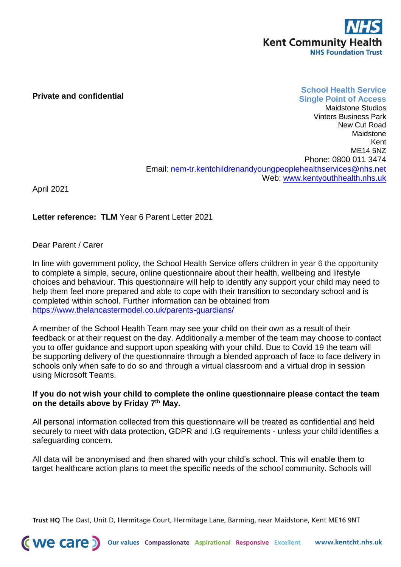

## **Private and confidential**

## **School Health Service Single Point of Access**

Maidstone Studios Vinters Business Park New Cut Road Maidstone Kent ME14 5NZ Phone: 0800 011 3474 Email: [nem-tr.kentchildrenandyoungpeoplehealthservices@nhs.net](mailto:nem-tr.kentchildrenandyoungpeoplehealthservices@nhs.net) Web: [www.kentyouthhealth.nhs.uk](file://///kchtvfiler01.kentcht.nhs.uk/user/Chloe.Crouch/OutlookTempFiles/www.kentyouthhealth.nhs.uk)

April 2021

**Letter reference: TLM** Year 6 Parent Letter 2021

Dear Parent / Carer

In line with government policy, the School Health Service offers children in year 6 the opportunity to complete a simple, secure, online questionnaire about their health, wellbeing and lifestyle choices and behaviour. This questionnaire will help to identify any support your child may need to help them feel more prepared and able to cope with their transition to secondary school and is completed within school. Further information can be obtained from <https://www.thelancastermodel.co.uk/parents-guardians/>

A member of the School Health Team may see your child on their own as a result of their feedback or at their request on the day. Additionally a member of the team may choose to contact you to offer guidance and support upon speaking with your child. Due to Covid 19 the team will be supporting delivery of the questionnaire through a blended approach of face to face delivery in schools only when safe to do so and through a virtual classroom and a virtual drop in session using Microsoft Teams.

## **If you do not wish your child to complete the online questionnaire please contact the team on the details above by Friday 7th May.**

All personal information collected from this questionnaire will be treated as confidential and held securely to meet with data protection, GDPR and I.G requirements - unless your child identifies a safeguarding concern.

All data will be anonymised and then shared with your child's school. This will enable them to target healthcare action plans to meet the specific needs of the school community. Schools will

Trust HQ The Oast, Unit D, Hermitage Court, Hermitage Lane, Barming, near Maidstone, Kent ME16 9NT